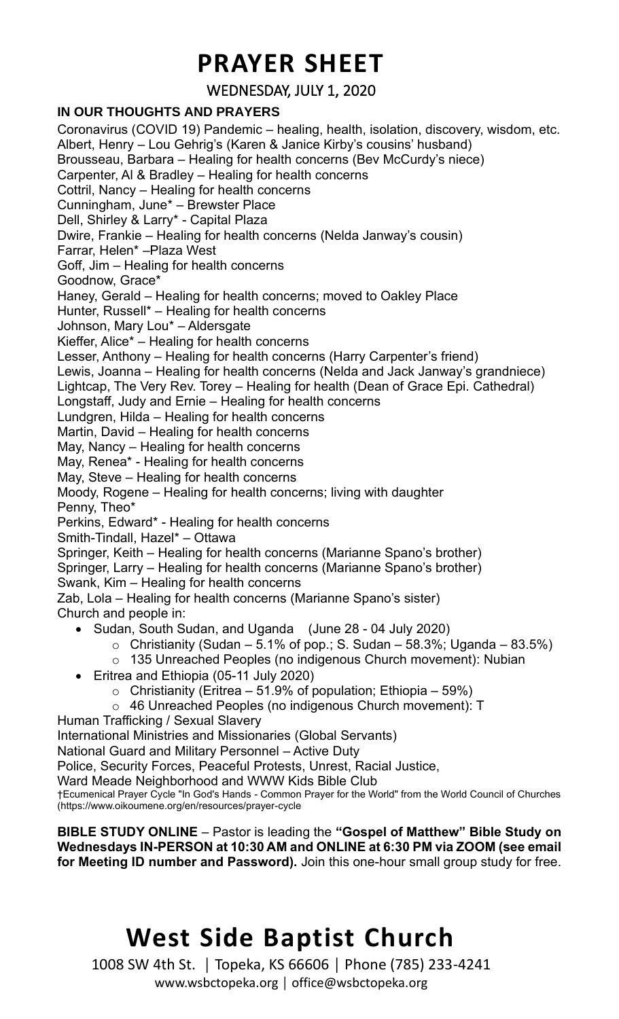#### **PRAYER SHEET**

WEDNESDAY, JULY 1, 2020

#### **IN OUR THOUGHTS AND PRAYERS**

Coronavirus (COVID 19) Pandemic – healing, health, isolation, discovery, wisdom, etc. Albert, Henry – Lou Gehrig's (Karen & Janice Kirby's cousins' husband) Brousseau, Barbara – Healing for health concerns (Bev McCurdy's niece) Carpenter, Al & Bradley – Healing for health concerns Cottril, Nancy – Healing for health concerns Cunningham, June\* – Brewster Place Dell, Shirley & Larry\* - Capital Plaza Dwire, Frankie – Healing for health concerns (Nelda Janway's cousin) Farrar, Helen\* –Plaza West Goff, Jim – Healing for health concerns Goodnow, Grace\* Haney, Gerald – Healing for health concerns; moved to Oakley Place Hunter, Russell\* – Healing for health concerns Johnson, Mary Lou\* – Aldersgate Kieffer, Alice\* – Healing for health concerns Lesser, Anthony – Healing for health concerns (Harry Carpenter's friend) Lewis, Joanna – Healing for health concerns (Nelda and Jack Janway's grandniece) Lightcap, The Very Rev. Torey – Healing for health (Dean of Grace Epi. Cathedral) Longstaff, Judy and Ernie – Healing for health concerns Lundgren, Hilda – Healing for health concerns Martin, David – Healing for health concerns May, Nancy – Healing for health concerns May, Renea\* - Healing for health concerns May, Steve – Healing for health concerns Moody, Rogene – Healing for health concerns; living with daughter Penny, Theo\* Perkins, Edward\* - Healing for health concerns Smith-Tindall, Hazel\* – Ottawa Springer, Keith – Healing for health concerns (Marianne Spano's brother) Springer, Larry – Healing for health concerns (Marianne Spano's brother) Swank, Kim – Healing for health concerns Zab, Lola – Healing for health concerns (Marianne Spano's sister) Church and people in: • Sudan, South Sudan, and Uganda (June 28 - 04 July 2020)  $\circ$  Christianity (Sudan – 5.1% of pop.; S. Sudan – 58.3%; Uganda – 83.5%) o 135 Unreached Peoples (no indigenous Church movement): Nubian • Eritrea and Ethiopia (05-11 July 2020)  $\circ$  Christianity (Eritrea – 51.9% of population; Ethiopia – 59%) o 46 Unreached Peoples (no indigenous Church movement): T Human Trafficking / Sexual Slavery International Ministries and Missionaries (Global Servants) National Guard and Military Personnel – Active Duty Police, Security Forces, Peaceful Protests, Unrest, Racial Justice, Ward Meade Neighborhood and WWW Kids Bible Club

†Ecumenical Prayer Cycle "In God's Hands - Common Prayer for the World" from the World Council of Churches (https://www.oikoumene.org/en/resources/prayer-cycle

**BIBLE STUDY ONLINE** – Pastor is leading the **"Gospel of Matthew" Bible Study on Wednesdays IN-PERSON at 10:30 AM and ONLINE at 6:30 PM via ZOOM (see email for Meeting ID number and Password).** Join this one-hour small group study for free.

### **West Side Baptist Church**

1008 SW 4th St. │ Topeka, KS 66606 │ Phone (785) 233-4241 www.wsbctopeka.org │ office@wsbctopeka.org